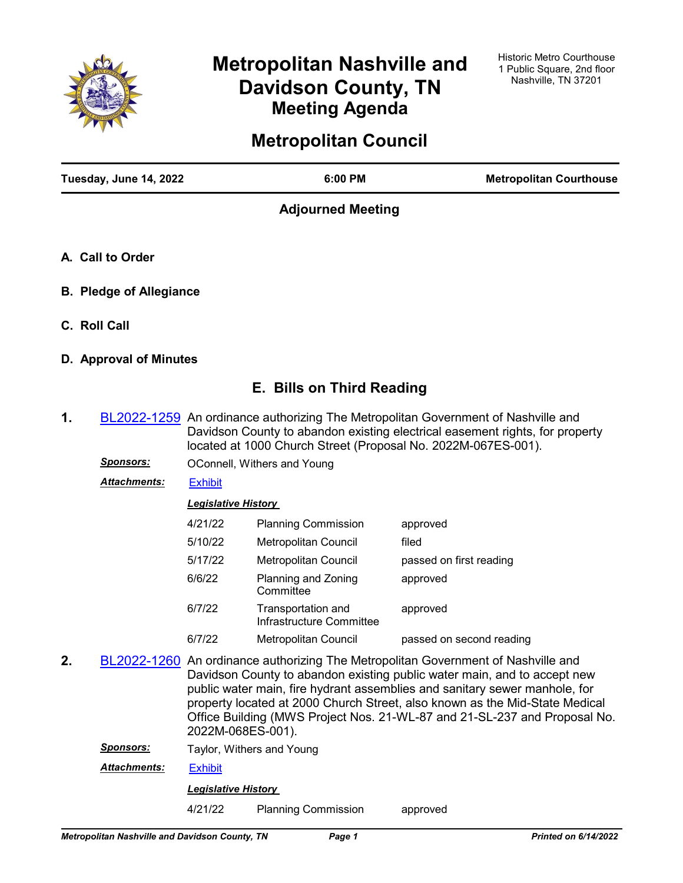

# **Metropolitan Nashville and Davidson County, TN Meeting Agenda**

## **Metropolitan Council**

| Tuesday, June 14, 2022         | 6:00 PM                  | <b>Metropolitan Courthouse</b> |
|--------------------------------|--------------------------|--------------------------------|
|                                | <b>Adjourned Meeting</b> |                                |
| A. Call to Order               |                          |                                |
| <b>B. Pledge of Allegiance</b> |                          |                                |
| C. Roll Call                   |                          |                                |

**D. Approval of Minutes**

## **E. Bills on Third Reading**

- **1.** [BL2022-1259](http://nashville.legistar.com/gateway.aspx?m=l&id=/matter.aspx?key=14446) An ordinance authorizing The Metropolitan Government of Nashville and Davidson County to abandon existing electrical easement rights, for property located at 1000 Church Street (Proposal No. 2022M-067ES-001).
	- **Sponsors: OConnell, Withers and Young**
	- *Attachments:* [Exhibit](http://nashville.legistar.com/gateway.aspx?M=F&ID=2bba33f4-21aa-444c-a345-b4ef967282ed.pdf)

### *Legislative History*

| 4/21/22 | <b>Planning Commission</b>                     | approved                 |
|---------|------------------------------------------------|--------------------------|
| 5/10/22 | <b>Metropolitan Council</b>                    | filed                    |
| 5/17/22 | <b>Metropolitan Council</b>                    | passed on first reading  |
| 6/6/22  | Planning and Zoning<br>Committee               | approved                 |
| 6/7/22  | Transportation and<br>Infrastructure Committee | approved                 |
| 6/7/22  | <b>Metropolitan Council</b>                    | passed on second reading |

**2.** [BL2022-1260](http://nashville.legistar.com/gateway.aspx?m=l&id=/matter.aspx?key=14469) An ordinance authorizing The Metropolitan Government of Nashville and Davidson County to abandon existing public water main, and to accept new public water main, fire hydrant assemblies and sanitary sewer manhole, for property located at 2000 Church Street, also known as the Mid-State Medical Office Building (MWS Project Nos. 21-WL-87 and 21-SL-237 and Proposal No. 2022M-068ES-001).

**Sponsors:** Taylor, Withers and Young

*Attachments:* [Exhibit](http://nashville.legistar.com/gateway.aspx?M=F&ID=c700f501-5790-4104-88de-d388c379c0b8.pdf)

*Legislative History* 

4/21/22 Planning Commission approved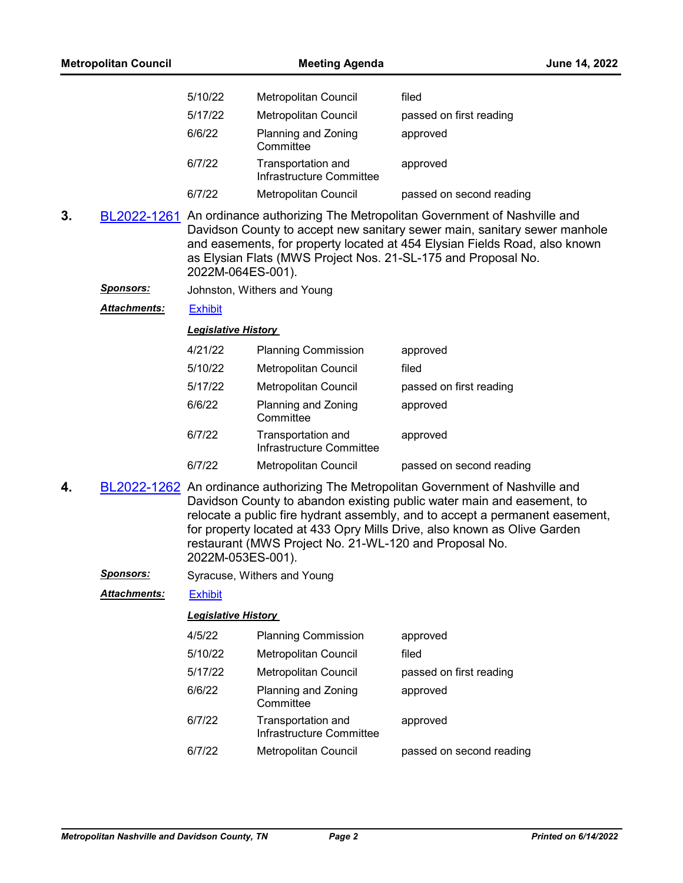|    | <b>Metropolitan Council</b> |                            | <b>Meeting Agenda</b>                                         | June 14, 2022                                                                                                                                                                                                                                                                                                           |  |
|----|-----------------------------|----------------------------|---------------------------------------------------------------|-------------------------------------------------------------------------------------------------------------------------------------------------------------------------------------------------------------------------------------------------------------------------------------------------------------------------|--|
|    |                             | 5/10/22                    | <b>Metropolitan Council</b>                                   | filed                                                                                                                                                                                                                                                                                                                   |  |
|    |                             | 5/17/22                    | <b>Metropolitan Council</b>                                   | passed on first reading                                                                                                                                                                                                                                                                                                 |  |
|    |                             | 6/6/22                     | Planning and Zoning<br>Committee                              | approved                                                                                                                                                                                                                                                                                                                |  |
|    |                             | 6/7/22                     | Transportation and<br>Infrastructure Committee                | approved                                                                                                                                                                                                                                                                                                                |  |
|    |                             | 6/7/22                     | <b>Metropolitan Council</b>                                   | passed on second reading                                                                                                                                                                                                                                                                                                |  |
| 3. |                             | 2022M-064ES-001).          | as Elysian Flats (MWS Project Nos. 21-SL-175 and Proposal No. | BL2022-1261 An ordinance authorizing The Metropolitan Government of Nashville and<br>Davidson County to accept new sanitary sewer main, sanitary sewer manhole<br>and easements, for property located at 454 Elysian Fields Road, also known                                                                            |  |
|    | <u>Sponsors:</u>            |                            | Johnston, Withers and Young                                   |                                                                                                                                                                                                                                                                                                                         |  |
|    | Attachments:                | <b>Exhibit</b>             |                                                               |                                                                                                                                                                                                                                                                                                                         |  |
|    |                             | <b>Legislative History</b> |                                                               |                                                                                                                                                                                                                                                                                                                         |  |
|    |                             | 4/21/22                    | <b>Planning Commission</b>                                    | approved                                                                                                                                                                                                                                                                                                                |  |
|    |                             | 5/10/22                    | Metropolitan Council                                          | filed                                                                                                                                                                                                                                                                                                                   |  |
|    |                             | 5/17/22                    | <b>Metropolitan Council</b>                                   | passed on first reading                                                                                                                                                                                                                                                                                                 |  |
|    |                             | 6/6/22                     | Planning and Zoning<br>Committee                              | approved                                                                                                                                                                                                                                                                                                                |  |
|    |                             | 6/7/22                     | Transportation and<br>Infrastructure Committee                | approved                                                                                                                                                                                                                                                                                                                |  |
|    |                             | 6/7/22                     | Metropolitan Council                                          | passed on second reading                                                                                                                                                                                                                                                                                                |  |
| 4. |                             | 2022M-053ES-001).          | restaurant (MWS Project No. 21-WL-120 and Proposal No.        | BL2022-1262 An ordinance authorizing The Metropolitan Government of Nashville and<br>Davidson County to abandon existing public water main and easement, to<br>relocate a public fire hydrant assembly, and to accept a permanent easement,<br>for property located at 433 Opry Mills Drive, also known as Olive Garden |  |
|    | <u>Sponsors:</u>            |                            | Syracuse, Withers and Young                                   |                                                                                                                                                                                                                                                                                                                         |  |
|    | <b>Attachments:</b>         | <b>Exhibit</b>             |                                                               |                                                                                                                                                                                                                                                                                                                         |  |
|    |                             | <b>Legislative History</b> |                                                               |                                                                                                                                                                                                                                                                                                                         |  |
|    |                             | 4/5/22                     | <b>Planning Commission</b>                                    | approved                                                                                                                                                                                                                                                                                                                |  |
|    |                             | 5/10/22                    | <b>Metropolitan Council</b>                                   | filed                                                                                                                                                                                                                                                                                                                   |  |
|    |                             | 5/17/22                    | Metropolitan Council                                          | passed on first reading                                                                                                                                                                                                                                                                                                 |  |
|    |                             | 6/6/22                     | Planning and Zoning<br>Committee                              | approved                                                                                                                                                                                                                                                                                                                |  |
|    |                             | 6/7/22                     | Transportation and<br>Infrastructure Committee                | approved                                                                                                                                                                                                                                                                                                                |  |
|    |                             | 6/7/22                     | Metropolitan Council                                          | passed on second reading                                                                                                                                                                                                                                                                                                |  |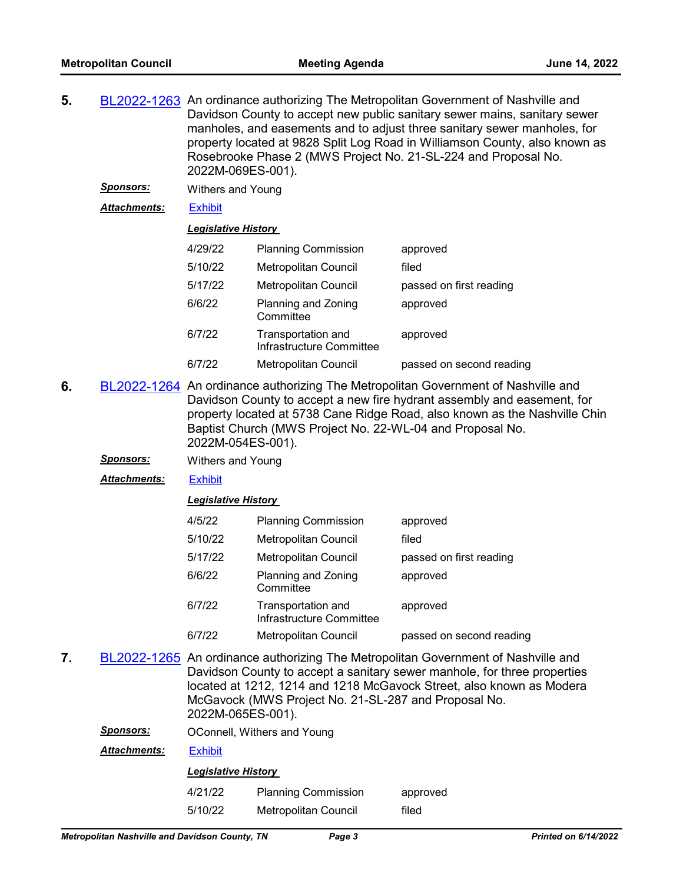- **5.** [BL2022-1263](http://nashville.legistar.com/gateway.aspx?m=l&id=/matter.aspx?key=14472) An ordinance authorizing The Metropolitan Government of Nashville and Davidson County to accept new public sanitary sewer mains, sanitary sewer manholes, and easements and to adjust three sanitary sewer manholes, for property located at 9828 Split Log Road in Williamson County, also known as Rosebrooke Phase 2 (MWS Project No. 21-SL-224 and Proposal No. 2022M-069ES-001).
	- *Sponsors:* Withers and Young

*Attachments:* [Exhibit](http://nashville.legistar.com/gateway.aspx?M=F&ID=b1307a1a-883d-4ed0-8503-a9530591ed20.pdf)

#### *Legislative History*

| 4/29/22 | <b>Planning Commission</b>                     | approved                 |
|---------|------------------------------------------------|--------------------------|
| 5/10/22 | <b>Metropolitan Council</b>                    | filed                    |
| 5/17/22 | Metropolitan Council                           | passed on first reading  |
| 6/6/22  | Planning and Zoning<br>Committee               | approved                 |
| 6/7/22  | Transportation and<br>Infrastructure Committee | approved                 |
| 6/7/22  | Metropolitan Council                           | passed on second reading |

- **6.** [BL2022-1264](http://nashville.legistar.com/gateway.aspx?m=l&id=/matter.aspx?key=14473) An ordinance authorizing The Metropolitan Government of Nashville and Davidson County to accept a new fire hydrant assembly and easement, for property located at 5738 Cane Ridge Road, also known as the Nashville Chin Baptist Church (MWS Project No. 22-WL-04 and Proposal No. 2022M-054ES-001).
	- *Sponsors:* Withers and Young

*Attachments:* [Exhibit](http://nashville.legistar.com/gateway.aspx?M=F&ID=b201abd1-fb1e-42e2-9e37-490e1193aef9.pdf)

#### *Legislative History*

| 4/5/22  | <b>Planning Commission</b>                     | approved                 |
|---------|------------------------------------------------|--------------------------|
| 5/10/22 | <b>Metropolitan Council</b>                    | filed                    |
| 5/17/22 | Metropolitan Council                           | passed on first reading  |
| 6/6/22  | Planning and Zoning<br>Committee               | approved                 |
| 6/7/22  | Transportation and<br>Infrastructure Committee | approved                 |
| 6/7/22  | <b>Metropolitan Council</b>                    | passed on second reading |

**7.** [BL2022-1265](http://nashville.legistar.com/gateway.aspx?m=l&id=/matter.aspx?key=14474) An ordinance authorizing The Metropolitan Government of Nashville and Davidson County to accept a sanitary sewer manhole, for three properties located at 1212, 1214 and 1218 McGavock Street, also known as Modera McGavock (MWS Project No. 21-SL-287 and Proposal No. 2022M-065ES-001).

**Sponsors: OConnell, Withers and Young** 

*Attachments:* [Exhibit](http://nashville.legistar.com/gateway.aspx?M=F&ID=21324e68-ea96-4b06-8b7f-9739b8f2df13.pdf)

#### *Legislative History*

| 4/21/22 | <b>Planning Commission</b> | approved |
|---------|----------------------------|----------|
| 5/10/22 | Metropolitan Council       | filed    |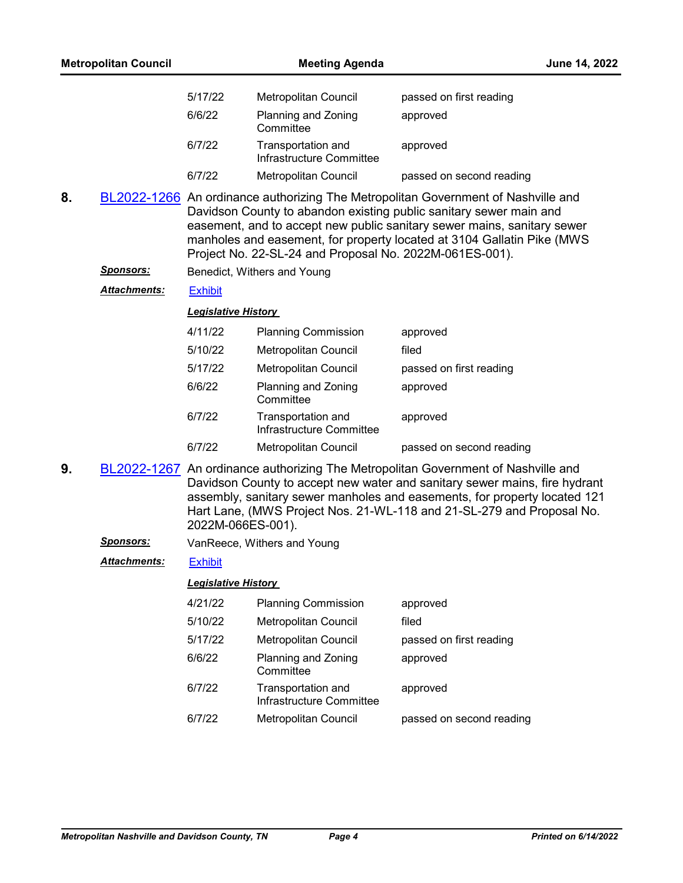|    | <b>Metropolitan Council</b> |                            | <b>Meeting Agenda</b>                                   |                                                                                                                                                                                                                                                                                                                       | June 14, 2022 |
|----|-----------------------------|----------------------------|---------------------------------------------------------|-----------------------------------------------------------------------------------------------------------------------------------------------------------------------------------------------------------------------------------------------------------------------------------------------------------------------|---------------|
|    |                             | 5/17/22                    | Metropolitan Council                                    | passed on first reading                                                                                                                                                                                                                                                                                               |               |
|    |                             | 6/6/22                     | Planning and Zoning<br>Committee                        | approved                                                                                                                                                                                                                                                                                                              |               |
|    |                             | 6/7/22                     | Transportation and<br>Infrastructure Committee          | approved                                                                                                                                                                                                                                                                                                              |               |
|    |                             | 6/7/22                     | <b>Metropolitan Council</b>                             | passed on second reading                                                                                                                                                                                                                                                                                              |               |
| 8. |                             |                            | Project No. 22-SL-24 and Proposal No. 2022M-061ES-001). | BL2022-1266 An ordinance authorizing The Metropolitan Government of Nashville and<br>Davidson County to abandon existing public sanitary sewer main and<br>easement, and to accept new public sanitary sewer mains, sanitary sewer<br>manholes and easement, for property located at 3104 Gallatin Pike (MWS          |               |
|    | <b>Sponsors:</b>            |                            | Benedict, Withers and Young                             |                                                                                                                                                                                                                                                                                                                       |               |
|    | Attachments:                | <b>Exhibit</b>             |                                                         |                                                                                                                                                                                                                                                                                                                       |               |
|    |                             | <b>Legislative History</b> |                                                         |                                                                                                                                                                                                                                                                                                                       |               |
|    |                             | 4/11/22                    | <b>Planning Commission</b>                              | approved                                                                                                                                                                                                                                                                                                              |               |
|    |                             | 5/10/22                    | Metropolitan Council                                    | filed                                                                                                                                                                                                                                                                                                                 |               |
|    |                             | 5/17/22                    | <b>Metropolitan Council</b>                             | passed on first reading                                                                                                                                                                                                                                                                                               |               |
|    |                             | 6/6/22                     | Planning and Zoning<br>Committee                        | approved                                                                                                                                                                                                                                                                                                              |               |
|    |                             | 6/7/22                     | Transportation and<br>Infrastructure Committee          | approved                                                                                                                                                                                                                                                                                                              |               |
|    |                             | 6/7/22                     | Metropolitan Council                                    | passed on second reading                                                                                                                                                                                                                                                                                              |               |
| 9. |                             | 2022M-066ES-001).          |                                                         | BL2022-1267 An ordinance authorizing The Metropolitan Government of Nashville and<br>Davidson County to accept new water and sanitary sewer mains, fire hydrant<br>assembly, sanitary sewer manholes and easements, for property located 121<br>Hart Lane, (MWS Project Nos. 21-WL-118 and 21-SL-279 and Proposal No. |               |
|    | <u>Sponsors:</u>            |                            | VanReece, Withers and Young                             |                                                                                                                                                                                                                                                                                                                       |               |
|    | Attachments:                | <b>Exhibit</b>             |                                                         |                                                                                                                                                                                                                                                                                                                       |               |
|    |                             | <b>Legislative History</b> |                                                         |                                                                                                                                                                                                                                                                                                                       |               |
|    |                             | 4/21/22                    | <b>Planning Commission</b>                              | approved                                                                                                                                                                                                                                                                                                              |               |

| H/ZILZZ | <u>Fianning Commission</u>                     | approveu                 |
|---------|------------------------------------------------|--------------------------|
| 5/10/22 | <b>Metropolitan Council</b>                    | filed                    |
| 5/17/22 | <b>Metropolitan Council</b>                    | passed on first reading  |
| 6/6/22  | Planning and Zoning<br>Committee               | approved                 |
| 6/7/22  | Transportation and<br>Infrastructure Committee | approved                 |
| 6/7/22  | Metropolitan Council                           | passed on second reading |